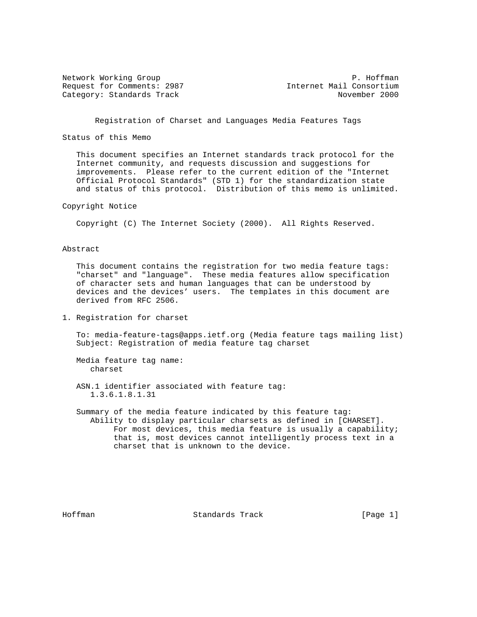Request for Comments: 2987 111 Internet Mail Consortium Category: Standards Track November 2000

Network Working Group **P. Hoffman** 

## Registration of Charset and Languages Media Features Tags

Status of this Memo

 This document specifies an Internet standards track protocol for the Internet community, and requests discussion and suggestions for improvements. Please refer to the current edition of the "Internet Official Protocol Standards" (STD 1) for the standardization state and status of this protocol. Distribution of this memo is unlimited.

Copyright Notice

Copyright (C) The Internet Society (2000). All Rights Reserved.

## Abstract

 This document contains the registration for two media feature tags: "charset" and "language". These media features allow specification of character sets and human languages that can be understood by devices and the devices' users. The templates in this document are derived from RFC 2506.

1. Registration for charset

 To: media-feature-tags@apps.ietf.org (Media feature tags mailing list) Subject: Registration of media feature tag charset

 Media feature tag name: charset

- ASN.1 identifier associated with feature tag: 1.3.6.1.8.1.31
- Summary of the media feature indicated by this feature tag: Ability to display particular charsets as defined in [CHARSET]. For most devices, this media feature is usually a capability; that is, most devices cannot intelligently process text in a charset that is unknown to the device.

Hoffman Standards Track [Page 1]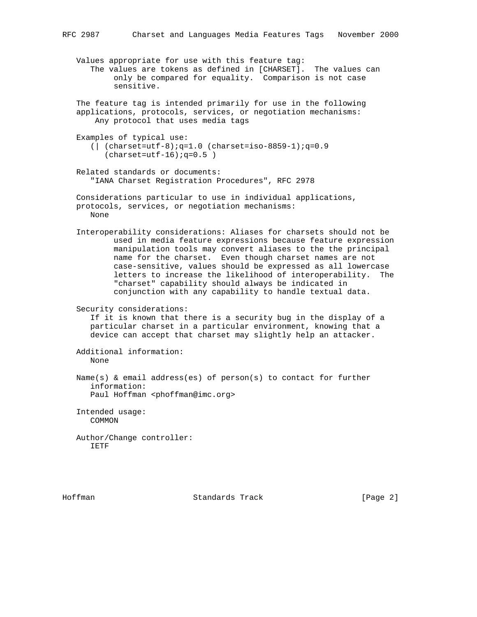Values appropriate for use with this feature tag: The values are tokens as defined in [CHARSET]. The values can only be compared for equality. Comparison is not case sensitive.

 The feature tag is intended primarily for use in the following applications, protocols, services, or negotiation mechanisms: Any protocol that uses media tags

 Examples of typical use:  $(|$  (charset=utf-8);q=1.0 (charset=iso-8859-1);q=0.9  $(charset=utf-16); q=0.5 )$ 

 Related standards or documents: "IANA Charset Registration Procedures", RFC 2978

 Considerations particular to use in individual applications, protocols, services, or negotiation mechanisms: None

 Interoperability considerations: Aliases for charsets should not be used in media feature expressions because feature expression manipulation tools may convert aliases to the the principal name for the charset. Even though charset names are not case-sensitive, values should be expressed as all lowercase letters to increase the likelihood of interoperability. The "charset" capability should always be indicated in conjunction with any capability to handle textual data.

Security considerations:

 If it is known that there is a security bug in the display of a particular charset in a particular environment, knowing that a device can accept that charset may slightly help an attacker.

 Additional information: None

 Name(s) & email address(es) of person(s) to contact for further information: Paul Hoffman <phoffman@imc.org>

 Intended usage: COMMON

 Author/Change controller: IETF

Hoffman Standards Track [Page 2]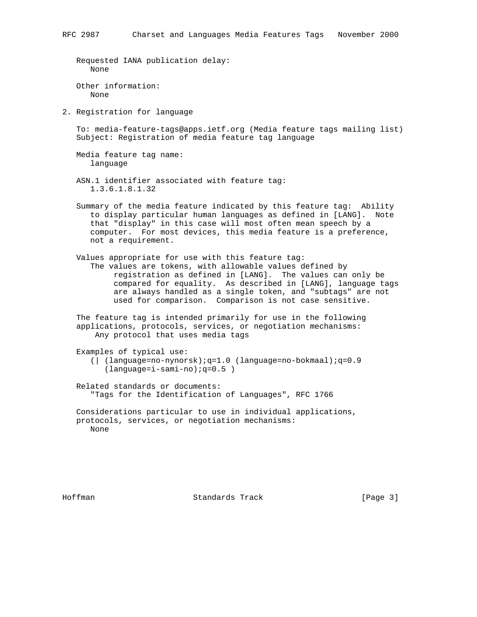Requested IANA publication delay: None

 Other information: None

2. Registration for language

 To: media-feature-tags@apps.ietf.org (Media feature tags mailing list) Subject: Registration of media feature tag language

 Media feature tag name: language

 ASN.1 identifier associated with feature tag: 1.3.6.1.8.1.32

 Summary of the media feature indicated by this feature tag: Ability to display particular human languages as defined in [LANG]. Note that "display" in this case will most often mean speech by a computer. For most devices, this media feature is a preference, not a requirement.

 Values appropriate for use with this feature tag: The values are tokens, with allowable values defined by registration as defined in [LANG]. The values can only be compared for equality. As described in [LANG], language tags are always handled as a single token, and "subtags" are not used for comparison. Comparison is not case sensitive.

 The feature tag is intended primarily for use in the following applications, protocols, services, or negotiation mechanisms: Any protocol that uses media tags

 Examples of typical use: (| (language=no-nynorsk);q=1.0 (language=no-bokmaal);q=0.9  $(lanquage=i-sami-no); q=0.5)$ 

 Related standards or documents: "Tags for the Identification of Languages", RFC 1766

 Considerations particular to use in individual applications, protocols, services, or negotiation mechanisms: None

Hoffman Standards Track [Page 3]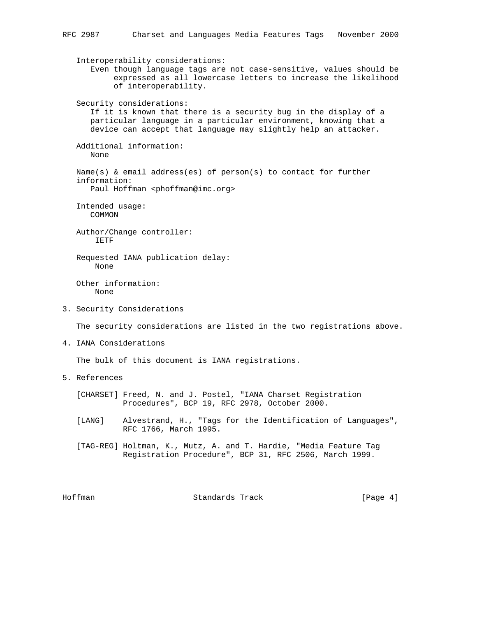Interoperability considerations: Even though language tags are not case-sensitive, values should be expressed as all lowercase letters to increase the likelihood of interoperability. Security considerations: If it is known that there is a security bug in the display of a particular language in a particular environment, knowing that a device can accept that language may slightly help an attacker. Additional information: None Name(s) & email address(es) of person(s) to contact for further information: Paul Hoffman <phoffman@imc.org> Intended usage: COMMON Author/Change controller: IETF Requested IANA publication delay: None Other information: None 3. Security Considerations The security considerations are listed in the two registrations above. 4. IANA Considerations The bulk of this document is IANA registrations. 5. References [CHARSET] Freed, N. and J. Postel, "IANA Charset Registration Procedures", BCP 19, RFC 2978, October 2000. [LANG] Alvestrand, H., "Tags for the Identification of Languages", RFC 1766, March 1995.

 [TAG-REG] Holtman, K., Mutz, A. and T. Hardie, "Media Feature Tag Registration Procedure", BCP 31, RFC 2506, March 1999.

Hoffman Standards Track [Page 4]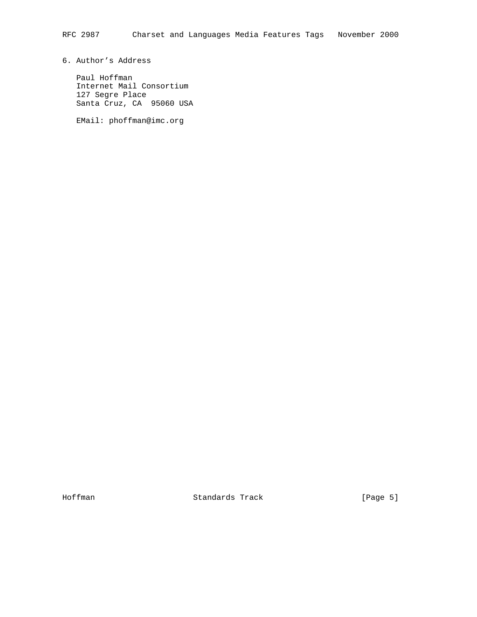6. Author's Address

 Paul Hoffman Internet Mail Consortium 127 Segre Place Santa Cruz, CA 95060 USA

EMail: phoffman@imc.org

Hoffman Standards Track [Page 5]